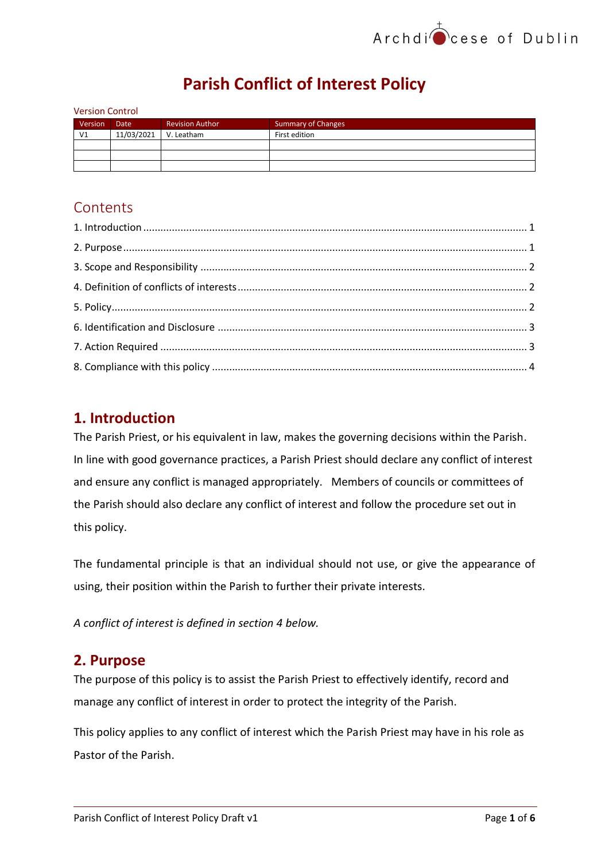# **Parish Conflict of Interest Policy**

| <b>Version Control</b> |             |                        |                           |  |  |
|------------------------|-------------|------------------------|---------------------------|--|--|
| Version                | <b>Date</b> | <b>Revision Author</b> | <b>Summary of Changes</b> |  |  |
| V <sub>1</sub>         | 11/03/2021  | V. Leatham             | First edition             |  |  |
|                        |             |                        |                           |  |  |
|                        |             |                        |                           |  |  |
|                        |             |                        |                           |  |  |

## **Contents**

## <span id="page-0-0"></span>**1. Introduction**

The Parish Priest, or his equivalent in law, makes the governing decisions within the Parish. In line with good governance practices, a Parish Priest should declare any conflict of interest and ensure any conflict is managed appropriately. Members of councils or committees of the Parish should also declare any conflict of interest and follow the procedure set out in this policy.

The fundamental principle is that an individual should not use, or give the appearance of using, their position within the Parish to further their private interests.

*A conflict of interest is defined in section 4 below.*

## <span id="page-0-1"></span>**2. Purpose**

The purpose of this policy is to assist the Parish Priest to effectively identify, record and manage any conflict of interest in order to protect the integrity of the Parish.

This policy applies to any conflict of interest which the Parish Priest may have in his role as Pastor of the Parish.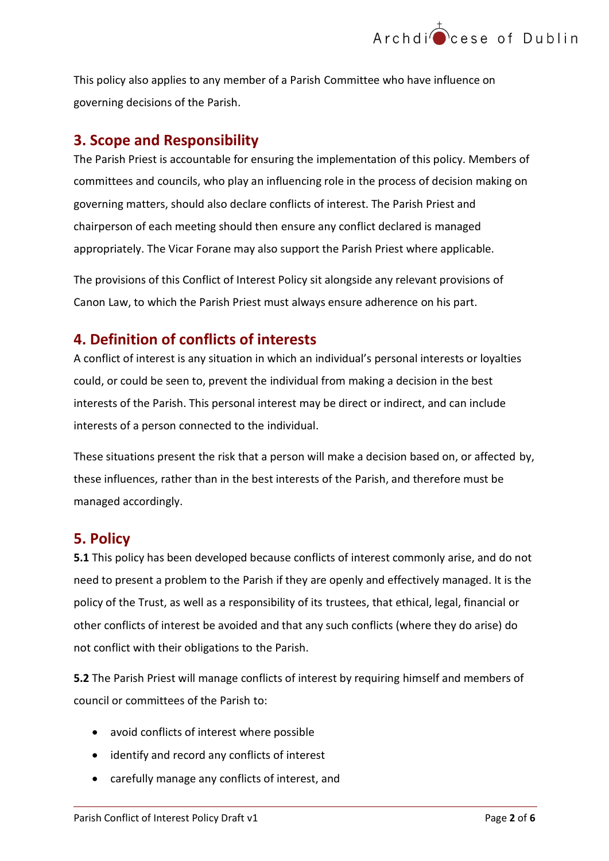

This policy also applies to any member of a Parish Committee who have influence on governing decisions of the Parish.

## <span id="page-1-0"></span>**3. Scope and Responsibility**

The Parish Priest is accountable for ensuring the implementation of this policy. Members of committees and councils, who play an influencing role in the process of decision making on governing matters, should also declare conflicts of interest. The Parish Priest and chairperson of each meeting should then ensure any conflict declared is managed appropriately. The Vicar Forane may also support the Parish Priest where applicable.

The provisions of this Conflict of Interest Policy sit alongside any relevant provisions of Canon Law, to which the Parish Priest must always ensure adherence on his part.

## <span id="page-1-1"></span>**4. Definition of conflicts of interests**

A conflict of interest is any situation in which an individual's personal interests or loyalties could, or could be seen to, prevent the individual from making a decision in the best interests of the Parish. This personal interest may be direct or indirect, and can include interests of a person connected to the individual.

These situations present the risk that a person will make a decision based on, or affected by, these influences, rather than in the best interests of the Parish, and therefore must be managed accordingly.

## <span id="page-1-2"></span>**5. Policy**

**5.1** This policy has been developed because conflicts of interest commonly arise, and do not need to present a problem to the Parish if they are openly and effectively managed. It is the policy of the Trust, as well as a responsibility of its trustees, that ethical, legal, financial or other conflicts of interest be avoided and that any such conflicts (where they do arise) do not conflict with their obligations to the Parish.

**5.2** The Parish Priest will manage conflicts of interest by requiring himself and members of council or committees of the Parish to:

- avoid conflicts of interest where possible
- identify and record any conflicts of interest
- carefully manage any conflicts of interest, and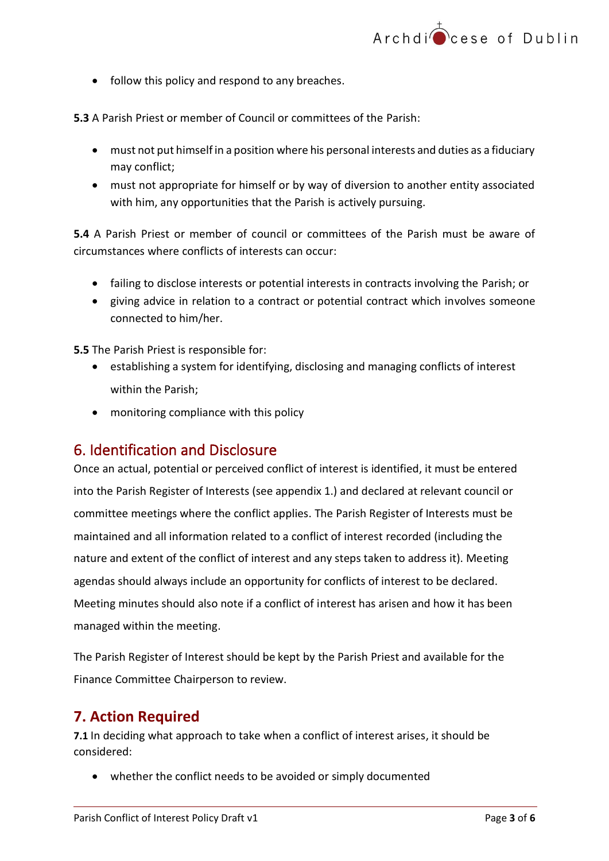• follow this policy and respond to any breaches.

**5.3** A Parish Priest or member of Council or committees of the Parish:

- must not put himself in a position where his personal interests and duties as a fiduciary may conflict;
- must not appropriate for himself or by way of diversion to another entity associated with him, any opportunities that the Parish is actively pursuing.

**5.4** A Parish Priest or member of council or committees of the Parish must be aware of circumstances where conflicts of interests can occur:

- failing to disclose interests or potential interests in contracts involving the Parish; or
- giving advice in relation to a contract or potential contract which involves someone connected to him/her.

**5.5** The Parish Priest is responsible for:

- establishing a system for identifying, disclosing and managing conflicts of interest within the Parish;
- monitoring compliance with this policy

### <span id="page-2-0"></span>6. Identification and Disclosure

Once an actual, potential or perceived conflict of interest is identified, it must be entered into the Parish Register of Interests (see appendix 1.) and declared at relevant council or committee meetings where the conflict applies. The Parish Register of Interests must be maintained and all information related to a conflict of interest recorded (including the nature and extent of the conflict of interest and any steps taken to address it). Meeting agendas should always include an opportunity for conflicts of interest to be declared. Meeting minutes should also note if a conflict of interest has arisen and how it has been managed within the meeting.

The Parish Register of Interest should be kept by the Parish Priest and available for the Finance Committee Chairperson to review.

### <span id="page-2-1"></span>**7. Action Required**

**7.1** In deciding what approach to take when a conflict of interest arises, it should be considered:

• whether the conflict needs to be avoided or simply documented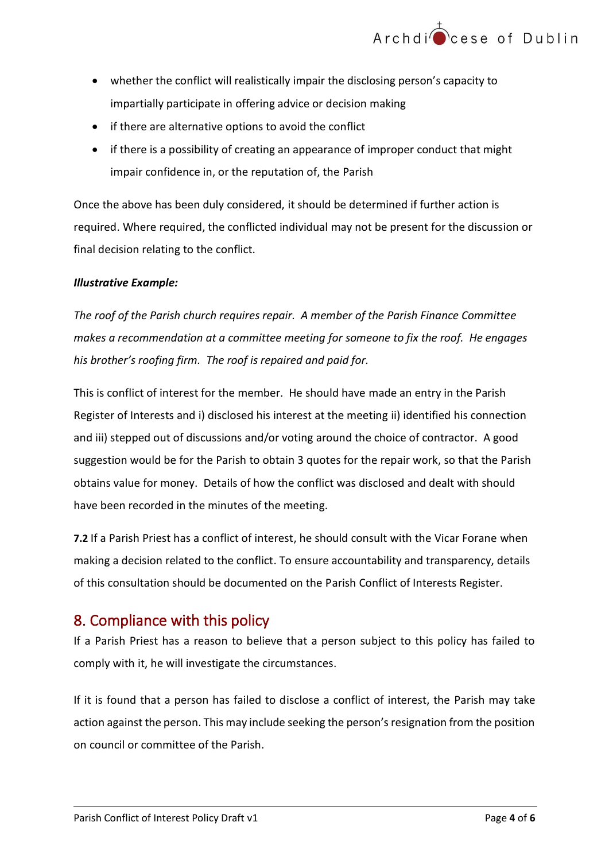- whether the conflict will realistically impair the disclosing person's capacity to impartially participate in offering advice or decision making
- if there are alternative options to avoid the conflict
- if there is a possibility of creating an appearance of improper conduct that might impair confidence in, or the reputation of, the Parish

Once the above has been duly considered, it should be determined if further action is required. Where required, the conflicted individual may not be present for the discussion or final decision relating to the conflict.

#### *Illustrative Example:*

*The roof of the Parish church requires repair. A member of the Parish Finance Committee makes a recommendation at a committee meeting for someone to fix the roof. He engages his brother's roofing firm. The roof is repaired and paid for.* 

This is conflict of interest for the member. He should have made an entry in the Parish Register of Interests and i) disclosed his interest at the meeting ii) identified his connection and iii) stepped out of discussions and/or voting around the choice of contractor. A good suggestion would be for the Parish to obtain 3 quotes for the repair work, so that the Parish obtains value for money. Details of how the conflict was disclosed and dealt with should have been recorded in the minutes of the meeting.

**7.2** If a Parish Priest has a conflict of interest, he should consult with the Vicar Forane when making a decision related to the conflict. To ensure accountability and transparency, details of this consultation should be documented on the Parish Conflict of Interests Register.

## <span id="page-3-0"></span>8. Compliance with this policy

If a Parish Priest has a reason to believe that a person subject to this policy has failed to comply with it, he will investigate the circumstances.

If it is found that a person has failed to disclose a conflict of interest, the Parish may take action against the person. This may include seeking the person's resignation from the position on council or committee of the Parish.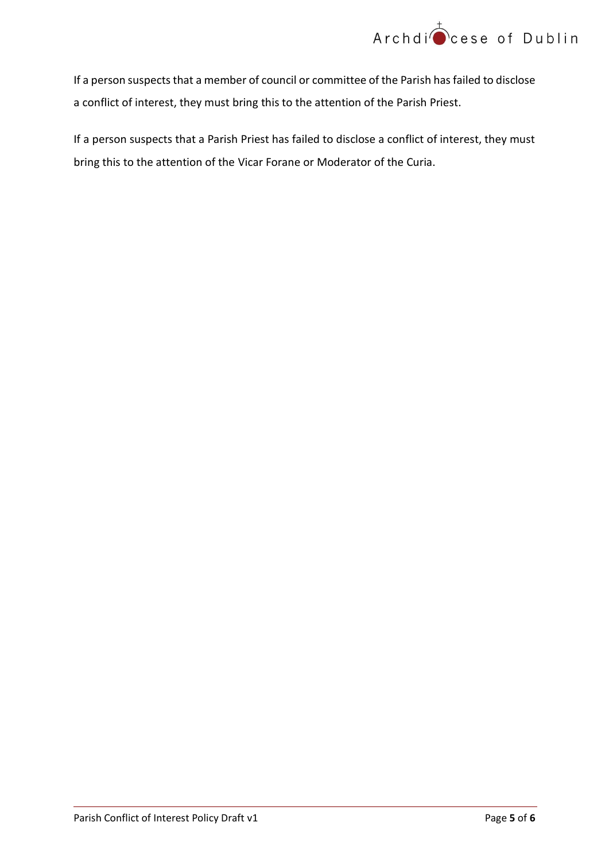

If a person suspects that a member of council or committee of the Parish has failed to disclose a conflict of interest, they must bring this to the attention of the Parish Priest.

If a person suspects that a Parish Priest has failed to disclose a conflict of interest, they must bring this to the attention of the Vicar Forane or Moderator of the Curia.